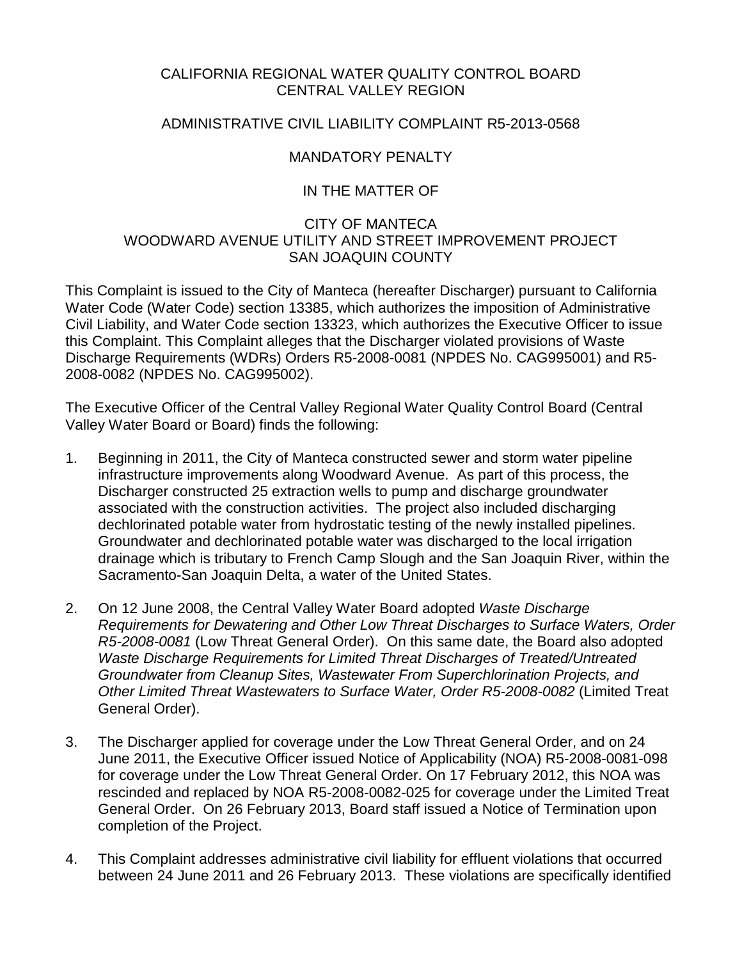## CALIFORNIA REGIONAL WATER QUALITY CONTROL BOARD CENTRAL VALLEY REGION

## ADMINISTRATIVE CIVIL LIABILITY COMPLAINT R5-2013-0568

# MANDATORY PENALTY

# IN THE MATTER OF

## CITY OF MANTECA WOODWARD AVENUE UTILITY AND STREET IMPROVEMENT PROJECT SAN JOAQUIN COUNTY

This Complaint is issued to the City of Manteca (hereafter Discharger) pursuant to California Water Code (Water Code) section 13385, which authorizes the imposition of Administrative Civil Liability, and Water Code section 13323, which authorizes the Executive Officer to issue this Complaint. This Complaint alleges that the Discharger violated provisions of Waste Discharge Requirements (WDRs) Orders R5-2008-0081 (NPDES No. CAG995001) and R5- 2008-0082 (NPDES No. CAG995002).

The Executive Officer of the Central Valley Regional Water Quality Control Board (Central Valley Water Board or Board) finds the following:

- 1. Beginning in 2011, the City of Manteca constructed sewer and storm water pipeline infrastructure improvements along Woodward Avenue. As part of this process, the Discharger constructed 25 extraction wells to pump and discharge groundwater associated with the construction activities. The project also included discharging dechlorinated potable water from hydrostatic testing of the newly installed pipelines. Groundwater and dechlorinated potable water was discharged to the local irrigation drainage which is tributary to French Camp Slough and the San Joaquin River, within the Sacramento-San Joaquin Delta, a water of the United States.
- 2. On 12 June 2008, the Central Valley Water Board adopted *Waste Discharge Requirements for Dewatering and Other Low Threat Discharges to Surface Waters, Order R5-2008-0081* (Low Threat General Order). On this same date, the Board also adopted *Waste Discharge Requirements for Limited Threat Discharges of Treated/Untreated Groundwater from Cleanup Sites, Wastewater From Superchlorination Projects, and Other Limited Threat Wastewaters to Surface Water, Order R5-2008-0082* (Limited Treat General Order).
- 3. The Discharger applied for coverage under the Low Threat General Order, and on 24 June 2011, the Executive Officer issued Notice of Applicability (NOA) R5-2008-0081-098 for coverage under the Low Threat General Order. On 17 February 2012, this NOA was rescinded and replaced by NOA R5-2008-0082-025 for coverage under the Limited Treat General Order. On 26 February 2013, Board staff issued a Notice of Termination upon completion of the Project.
- 4. This Complaint addresses administrative civil liability for effluent violations that occurred between 24 June 2011 and 26 February 2013. These violations are specifically identified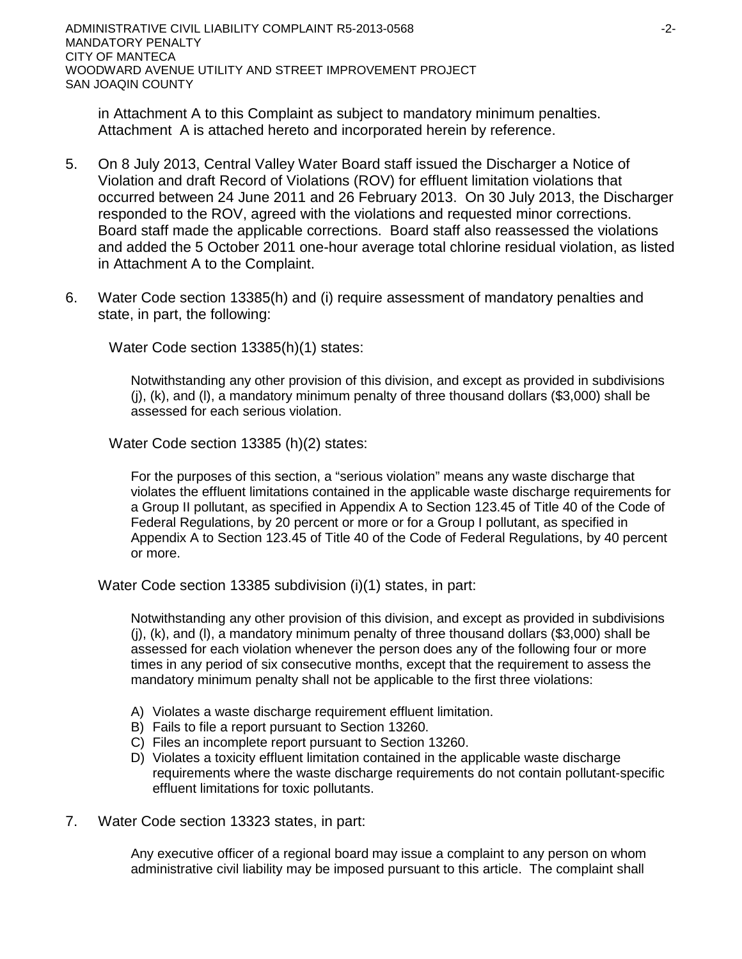ADMINISTRATIVE CIVIL LIABILITY COMPLAINT R5-2013-0568 -2- MANDATORY PENALTY CITY OF MANTECA WOODWARD AVENUE UTILITY AND STREET IMPROVEMENT PROJECT SAN JOAQIN COUNTY

in Attachment A to this Complaint as subject to mandatory minimum penalties. Attachment A is attached hereto and incorporated herein by reference.

- 5. On 8 July 2013, Central Valley Water Board staff issued the Discharger a Notice of Violation and draft Record of Violations (ROV) for effluent limitation violations that occurred between 24 June 2011 and 26 February 2013. On 30 July 2013, the Discharger responded to the ROV, agreed with the violations and requested minor corrections. Board staff made the applicable corrections. Board staff also reassessed the violations and added the 5 October 2011 one-hour average total chlorine residual violation, as listed in Attachment A to the Complaint.
- 6. Water Code section 13385(h) and (i) require assessment of mandatory penalties and state, in part, the following:

Water Code section 13385(h)(1) states:

Notwithstanding any other provision of this division, and except as provided in subdivisions  $(i)$ ,  $(k)$ , and  $(l)$ , a mandatory minimum penalty of three thousand dollars (\$3,000) shall be assessed for each serious violation.

Water Code section 13385 (h)(2) states:

For the purposes of this section, a "serious violation" means any waste discharge that violates the effluent limitations contained in the applicable waste discharge requirements for a Group II pollutant, as specified in Appendix A to Section 123.45 of Title 40 of the Code of Federal Regulations, by 20 percent or more or for a Group I pollutant, as specified in Appendix A to Section 123.45 of Title 40 of the Code of Federal Regulations, by 40 percent or more.

Water Code section 13385 subdivision (i)(1) states, in part:

Notwithstanding any other provision of this division, and except as provided in subdivisions  $(i)$ ,  $(k)$ , and  $(l)$ , a mandatory minimum penalty of three thousand dollars (\$3,000) shall be assessed for each violation whenever the person does any of the following four or more times in any period of six consecutive months, except that the requirement to assess the mandatory minimum penalty shall not be applicable to the first three violations:

- A) Violates a waste discharge requirement effluent limitation.
- B) Fails to file a report pursuant to Section 13260.
- C) Files an incomplete report pursuant to Section 13260.
- D) Violates a toxicity effluent limitation contained in the applicable waste discharge requirements where the waste discharge requirements do not contain pollutant-specific effluent limitations for toxic pollutants.
- 7. Water Code section 13323 states, in part:

Any executive officer of a regional board may issue a complaint to any person on whom administrative civil liability may be imposed pursuant to this article. The complaint shall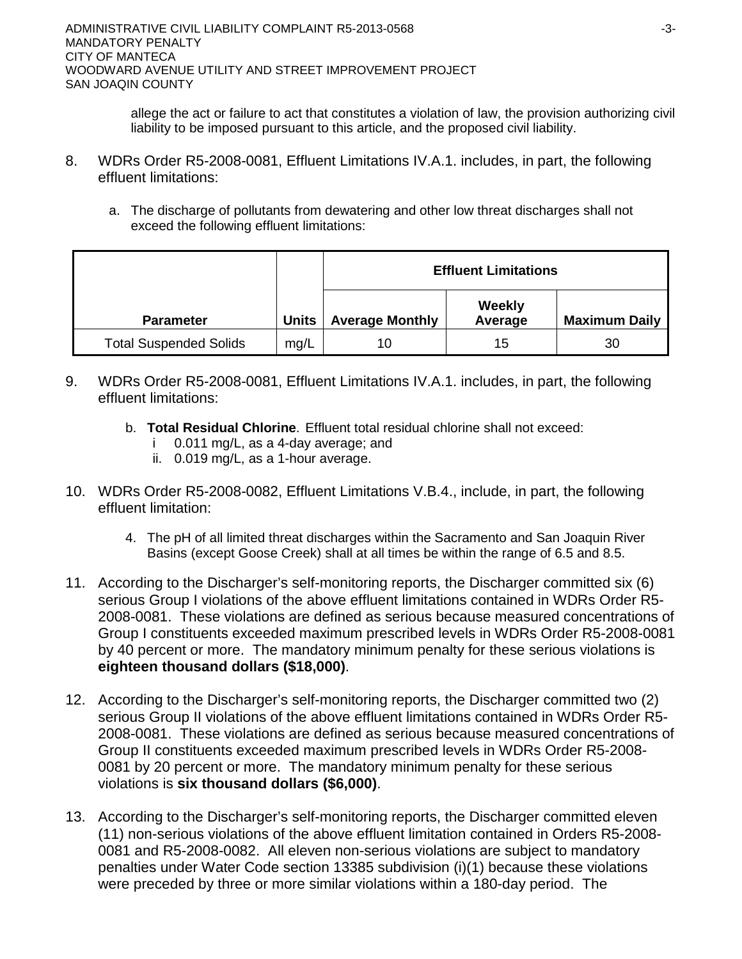allege the act or failure to act that constitutes a violation of law, the provision authorizing civil liability to be imposed pursuant to this article, and the proposed civil liability.

- 8. WDRs Order R5-2008-0081, Effluent Limitations IV.A.1. includes, in part, the following effluent limitations:
	- a. The discharge of pollutants from dewatering and other low threat discharges shall not exceed the following effluent limitations:

|                               |       | <b>Effluent Limitations</b> |                   |                      |  |
|-------------------------------|-------|-----------------------------|-------------------|----------------------|--|
| <b>Parameter</b>              | Units | <b>Average Monthly</b>      | Weekly<br>Average | <b>Maximum Daily</b> |  |
| <b>Total Suspended Solids</b> | mg/L  | 10                          | 15                | 30                   |  |

- 9. WDRs Order R5-2008-0081, Effluent Limitations IV.A.1. includes, in part, the following effluent limitations:
	- b. **Total Residual Chlorine**. Effluent total residual chlorine shall not exceed:
		- i 0.011 mg/L, as a 4-day average; and
		- ii. 0.019 mg/L, as a 1-hour average.
- 10. WDRs Order R5-2008-0082, Effluent Limitations V.B.4., include, in part, the following effluent limitation:
	- 4. The pH of all limited threat discharges within the Sacramento and San Joaquin River Basins (except Goose Creek) shall at all times be within the range of 6.5 and 8.5.
- 11. According to the Discharger's self-monitoring reports, the Discharger committed six (6) serious Group I violations of the above effluent limitations contained in WDRs Order R5- 2008-0081. These violations are defined as serious because measured concentrations of Group I constituents exceeded maximum prescribed levels in WDRs Order R5-2008-0081 by 40 percent or more. The mandatory minimum penalty for these serious violations is **eighteen thousand dollars (\$18,000)**.
- 12. According to the Discharger's self-monitoring reports, the Discharger committed two (2) serious Group II violations of the above effluent limitations contained in WDRs Order R5- 2008-0081. These violations are defined as serious because measured concentrations of Group II constituents exceeded maximum prescribed levels in WDRs Order R5-2008- 0081 by 20 percent or more. The mandatory minimum penalty for these serious violations is **six thousand dollars (\$6,000)**.
- 13. According to the Discharger's self-monitoring reports, the Discharger committed eleven (11) non-serious violations of the above effluent limitation contained in Orders R5-2008- 0081 and R5-2008-0082. All eleven non-serious violations are subject to mandatory penalties under Water Code section 13385 subdivision (i)(1) because these violations were preceded by three or more similar violations within a 180-day period. The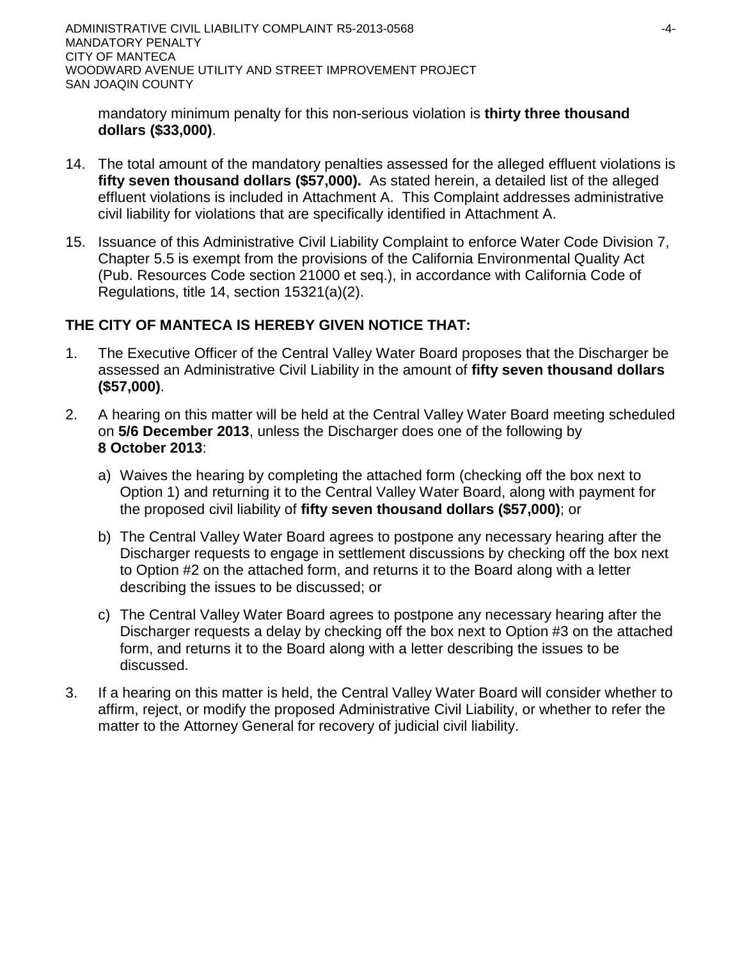ADMINISTRATIVE CIVIL LIABILITY COMPLAINT R5-2013-0568 4-4-MANDATORY PENALTY CITY OF MANTECA WOODWARD AVENUE UTILITY AND STREET IMPROVEMENT PROJECT SAN JOAQIN COUNTY

mandatory minimum penalty for this non-serious violation is **thirty three thousand dollars (\$33,000)**.

- 14. The total amount of the mandatory penalties assessed for the alleged effluent violations is **fifty seven thousand dollars (\$57,000).** As stated herein, a detailed list of the alleged effluent violations is included in Attachment A. This Complaint addresses administrative civil liability for violations that are specifically identified in Attachment A.
- 15. Issuance of this Administrative Civil Liability Complaint to enforce Water Code Division 7, Chapter 5.5 is exempt from the provisions of the California Environmental Quality Act (Pub. Resources Code section 21000 et seq.), in accordance with California Code of Regulations, title 14, section 15321(a)(2).

## **THE CITY OF MANTECA IS HEREBY GIVEN NOTICE THAT:**

- 1. The Executive Officer of the Central Valley Water Board proposes that the Discharger be assessed an Administrative Civil Liability in the amount of **fifty seven thousand dollars (\$57,000)**.
- 2. A hearing on this matter will be held at the Central Valley Water Board meeting scheduled on **5/6 December 2013**, unless the Discharger does one of the following by **8 October 2013**:
	- a) Waives the hearing by completing the attached form (checking off the box next to Option 1) and returning it to the Central Valley Water Board, along with payment for the proposed civil liability of **fifty seven thousand dollars (\$57,000)**; or
	- b) The Central Valley Water Board agrees to postpone any necessary hearing after the Discharger requests to engage in settlement discussions by checking off the box next to Option #2 on the attached form, and returns it to the Board along with a letter describing the issues to be discussed; or
	- c) The Central Valley Water Board agrees to postpone any necessary hearing after the Discharger requests a delay by checking off the box next to Option #3 on the attached form, and returns it to the Board along with a letter describing the issues to be discussed.
- 3. If a hearing on this matter is held, the Central Valley Water Board will consider whether to affirm, reject, or modify the proposed Administrative Civil Liability, or whether to refer the matter to the Attorney General for recovery of judicial civil liability.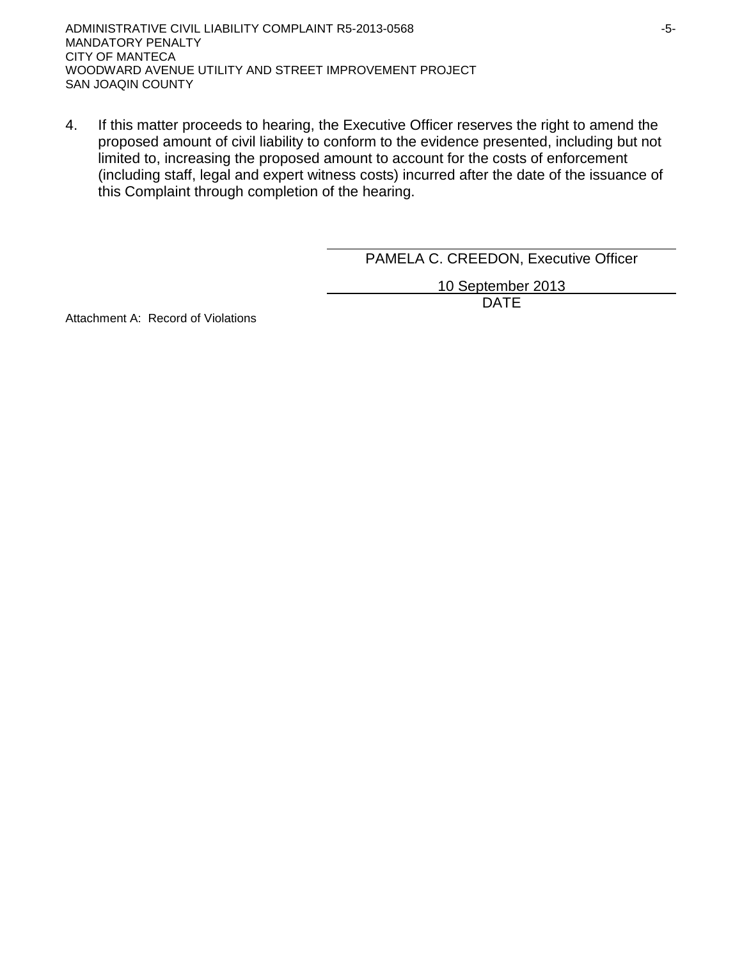4. If this matter proceeds to hearing, the Executive Officer reserves the right to amend the proposed amount of civil liability to conform to the evidence presented, including but not limited to, increasing the proposed amount to account for the costs of enforcement (including staff, legal and expert witness costs) incurred after the date of the issuance of this Complaint through completion of the hearing.

PAMELA C. CREEDON, Executive Officer

10 September 2013 DATE

Attachment A: Record of Violations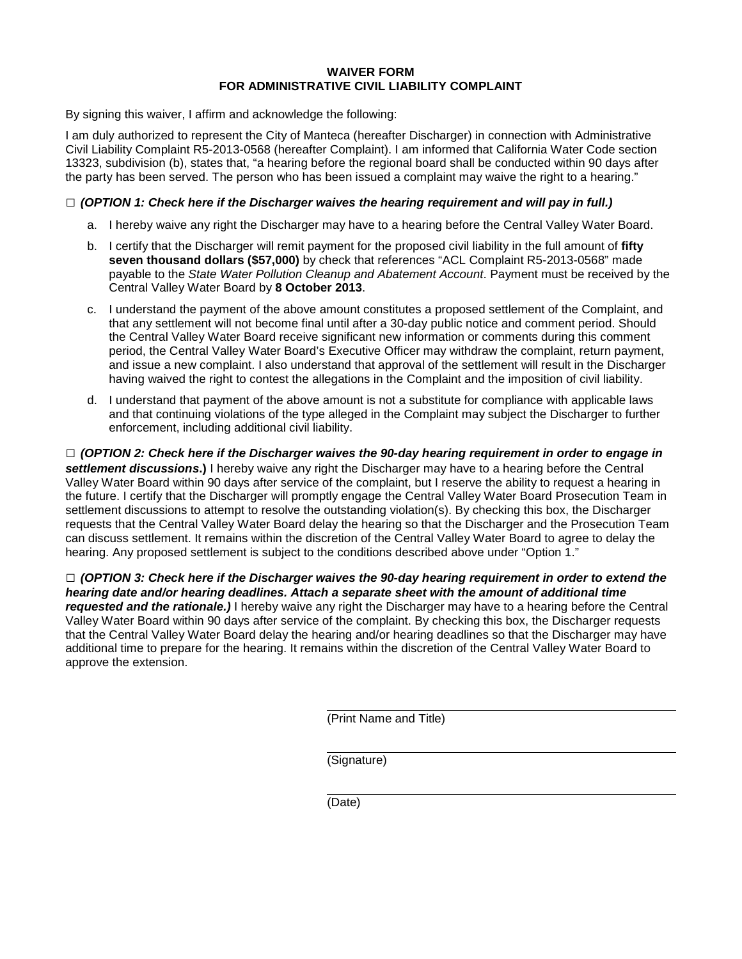#### **WAIVER FORM FOR ADMINISTRATIVE CIVIL LIABILITY COMPLAINT**

By signing this waiver, I affirm and acknowledge the following:

I am duly authorized to represent the City of Manteca (hereafter Discharger) in connection with Administrative Civil Liability Complaint R5-2013-0568 (hereafter Complaint). I am informed that California Water Code section 13323, subdivision (b), states that, "a hearing before the regional board shall be conducted within 90 days after the party has been served. The person who has been issued a complaint may waive the right to a hearing."

#### **□** *(OPTION 1: Check here if the Discharger waives the hearing requirement and will pay in full.)*

- a. I hereby waive any right the Discharger may have to a hearing before the Central Valley Water Board.
- b. I certify that the Discharger will remit payment for the proposed civil liability in the full amount of **fifty seven thousand dollars (\$57,000)** by check that references "ACL Complaint R5-2013-0568" made payable to the *State Water Pollution Cleanup and Abatement Account*. Payment must be received by the Central Valley Water Board by **8 October 2013**.
- c. I understand the payment of the above amount constitutes a proposed settlement of the Complaint, and that any settlement will not become final until after a 30-day public notice and comment period. Should the Central Valley Water Board receive significant new information or comments during this comment period, the Central Valley Water Board's Executive Officer may withdraw the complaint, return payment, and issue a new complaint. I also understand that approval of the settlement will result in the Discharger having waived the right to contest the allegations in the Complaint and the imposition of civil liability.
- d. I understand that payment of the above amount is not a substitute for compliance with applicable laws and that continuing violations of the type alleged in the Complaint may subject the Discharger to further enforcement, including additional civil liability.

**□** *(OPTION 2: Check here if the Discharger waives the 90-day hearing requirement in order to engage in settlement discussions***.)** I hereby waive any right the Discharger may have to a hearing before the Central Valley Water Board within 90 days after service of the complaint, but I reserve the ability to request a hearing in the future. I certify that the Discharger will promptly engage the Central Valley Water Board Prosecution Team in settlement discussions to attempt to resolve the outstanding violation(s). By checking this box, the Discharger requests that the Central Valley Water Board delay the hearing so that the Discharger and the Prosecution Team can discuss settlement. It remains within the discretion of the Central Valley Water Board to agree to delay the hearing. Any proposed settlement is subject to the conditions described above under "Option 1."

**□** *(OPTION 3: Check here if the Discharger waives the 90-day hearing requirement in order to extend the hearing date and/or hearing deadlines. Attach a separate sheet with the amount of additional time requested and the rationale.)* I hereby waive any right the Discharger may have to a hearing before the Central Valley Water Board within 90 days after service of the complaint. By checking this box, the Discharger requests that the Central Valley Water Board delay the hearing and/or hearing deadlines so that the Discharger may have additional time to prepare for the hearing. It remains within the discretion of the Central Valley Water Board to approve the extension.

(Print Name and Title)

(Signature)

(Date)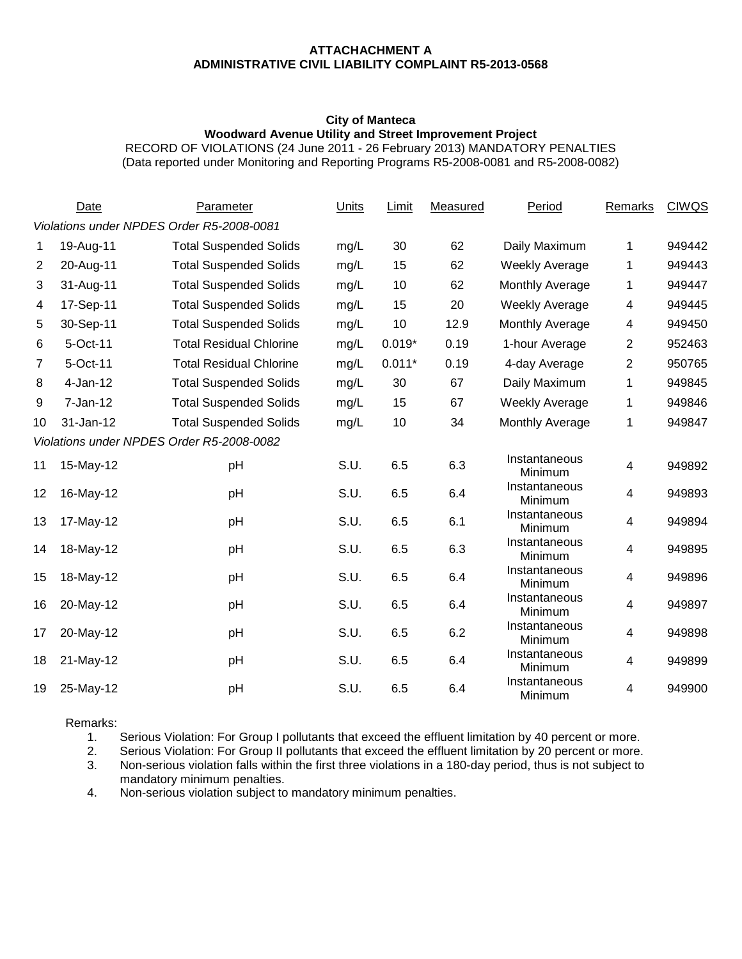#### **ATTACHACHMENT A ADMINISTRATIVE CIVIL LIABILITY COMPLAINT R5-2013-0568**

#### **City of Manteca Woodward Avenue Utility and Street Improvement Project**

RECORD OF VIOLATIONS (24 June 2011 - 26 February 2013) MANDATORY PENALTIES (Data reported under Monitoring and Reporting Programs R5-2008-0081 and R5-2008-0082)

|                                           | Date       | Parameter                      | Units | Limit    | Measured | Period                   | <b>Remarks</b> | <b>CIWQS</b> |
|-------------------------------------------|------------|--------------------------------|-------|----------|----------|--------------------------|----------------|--------------|
| Violations under NPDES Order R5-2008-0081 |            |                                |       |          |          |                          |                |              |
| 1                                         | 19-Aug-11  | <b>Total Suspended Solids</b>  | mg/L  | 30       | 62       | Daily Maximum            | 1              | 949442       |
| 2                                         | 20-Aug-11  | <b>Total Suspended Solids</b>  | mg/L  | 15       | 62       | <b>Weekly Average</b>    | 1              | 949443       |
| 3                                         | 31-Aug-11  | <b>Total Suspended Solids</b>  | mg/L  | 10       | 62       | Monthly Average          | 1              | 949447       |
| 4                                         | 17-Sep-11  | <b>Total Suspended Solids</b>  | mg/L  | 15       | 20       | <b>Weekly Average</b>    | 4              | 949445       |
| 5                                         | 30-Sep-11  | <b>Total Suspended Solids</b>  | mg/L  | 10       | 12.9     | Monthly Average          | 4              | 949450       |
| 6                                         | 5-Oct-11   | <b>Total Residual Chlorine</b> | mg/L  | $0.019*$ | 0.19     | 1-hour Average           | 2              | 952463       |
| $\overline{7}$                            | 5-Oct-11   | <b>Total Residual Chlorine</b> | mg/L  | $0.011*$ | 0.19     | 4-day Average            | 2              | 950765       |
| 8                                         | $4-Jan-12$ | <b>Total Suspended Solids</b>  | mg/L  | 30       | 67       | Daily Maximum            | 1              | 949845       |
| 9                                         | 7-Jan-12   | <b>Total Suspended Solids</b>  | mg/L  | 15       | 67       | <b>Weekly Average</b>    | 1              | 949846       |
| 10                                        | 31-Jan-12  | <b>Total Suspended Solids</b>  | mg/L  | 10       | 34       | Monthly Average          | 1              | 949847       |
| Violations under NPDES Order R5-2008-0082 |            |                                |       |          |          |                          |                |              |
| 11                                        | 15-May-12  | pH                             | S.U.  | 6.5      | 6.3      | Instantaneous<br>Minimum | 4              | 949892       |
| 12                                        | 16-May-12  | pH                             | S.U.  | 6.5      | 6.4      | Instantaneous<br>Minimum | 4              | 949893       |
| 13                                        | 17-May-12  | pH                             | S.U.  | 6.5      | 6.1      | Instantaneous<br>Minimum | 4              | 949894       |
| 14                                        | 18-May-12  | pH                             | S.U.  | 6.5      | 6.3      | Instantaneous<br>Minimum | 4              | 949895       |
| 15                                        | 18-May-12  | рH                             | S.U.  | 6.5      | 6.4      | Instantaneous<br>Minimum | 4              | 949896       |
| 16                                        | 20-May-12  | pH                             | S.U.  | 6.5      | 6.4      | Instantaneous<br>Minimum | 4              | 949897       |
| 17                                        | 20-May-12  | pH                             | S.U.  | 6.5      | 6.2      | Instantaneous<br>Minimum | 4              | 949898       |
| 18                                        | 21-May-12  | pH                             | S.U.  | 6.5      | 6.4      | Instantaneous<br>Minimum | 4              | 949899       |
| 19                                        | 25-May-12  | pH                             | S.U.  | 6.5      | 6.4      | Instantaneous<br>Minimum | 4              | 949900       |

Remarks:<br>1.

Serious Violation: For Group I pollutants that exceed the effluent limitation by 40 percent or more.

2. Serious Violation: For Group II pollutants that exceed the effluent limitation by 20 percent or more. 3. Non-serious violation falls within the first three violations in a 180-day period, thus is not subject to

mandatory minimum penalties.

4. Non-serious violation subject to mandatory minimum penalties.